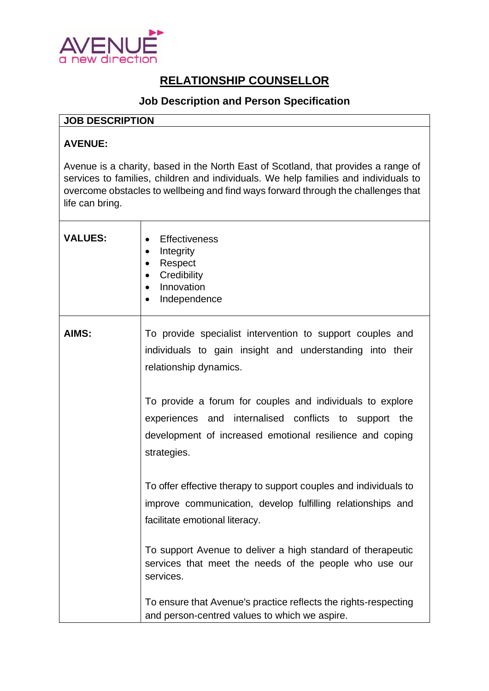

## **RELATIONSHIP COUNSELLOR**

## **Job Description and Person Specification**

## **JOB DESCRIPTION**

## **AVENUE:**

Avenue is a charity, based in the North East of Scotland, that provides a range of services to families, children and individuals. We help families and individuals to overcome obstacles to wellbeing and find ways forward through the challenges that life can bring.

| <b>VALUES:</b> | <b>Effectiveness</b><br>$\bullet$<br>Integrity<br>$\bullet$<br>Respect<br>$\bullet$<br>Credibility<br>$\bullet$<br>Innovation<br>$\bullet$<br>Independence<br>$\bullet$                       |
|----------------|-----------------------------------------------------------------------------------------------------------------------------------------------------------------------------------------------|
| AIMS:          | To provide specialist intervention to support couples and<br>individuals to gain insight and understanding into their<br>relationship dynamics.                                               |
|                | To provide a forum for couples and individuals to explore<br>experiences and internalised conflicts to support the<br>development of increased emotional resilience and coping<br>strategies. |
|                | To offer effective therapy to support couples and individuals to<br>improve communication, develop fulfilling relationships and<br>facilitate emotional literacy.                             |
|                | To support Avenue to deliver a high standard of therapeutic<br>services that meet the needs of the people who use our<br>services.                                                            |
|                | To ensure that Avenue's practice reflects the rights-respecting<br>and person-centred values to which we aspire.                                                                              |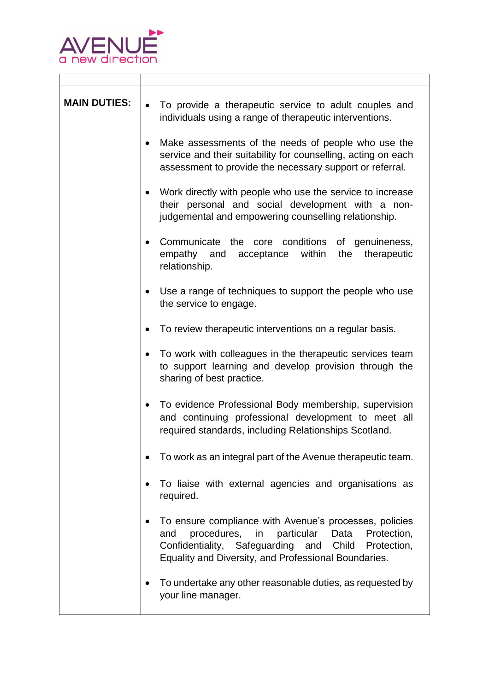

 $\Gamma$ 

| <b>MAIN DUTIES:</b>                                         | To provide a therapeutic service to adult couples and<br>individuals using a range of therapeutic interventions.                                                                                                                       |  |
|-------------------------------------------------------------|----------------------------------------------------------------------------------------------------------------------------------------------------------------------------------------------------------------------------------------|--|
|                                                             | Make assessments of the needs of people who use the<br>service and their suitability for counselling, acting on each<br>assessment to provide the necessary support or referral.                                                       |  |
|                                                             | Work directly with people who use the service to increase<br>their personal and social development with a non-<br>judgemental and empowering counselling relationship.                                                                 |  |
|                                                             | Communicate the<br>conditions<br>core<br>of genuineness,<br>acceptance within<br>the<br>empathy and<br>therapeutic<br>relationship.                                                                                                    |  |
|                                                             | Use a range of techniques to support the people who use<br>٠<br>the service to engage.                                                                                                                                                 |  |
|                                                             | To review therapeutic interventions on a regular basis.                                                                                                                                                                                |  |
|                                                             | To work with colleagues in the therapeutic services team<br>to support learning and develop provision through the<br>sharing of best practice.                                                                                         |  |
|                                                             | To evidence Professional Body membership, supervision<br>and continuing professional development to meet all<br>required standards, including Relationships Scotland.                                                                  |  |
| To work as an integral part of the Avenue therapeutic team. |                                                                                                                                                                                                                                        |  |
|                                                             | To liaise with external agencies and organisations as<br>required.                                                                                                                                                                     |  |
|                                                             | To ensure compliance with Avenue's processes, policies<br>procedures,<br>particular<br>in<br>Protection,<br>and<br>Data<br>Confidentiality, Safeguarding and Child Protection,<br>Equality and Diversity, and Professional Boundaries. |  |
|                                                             | To undertake any other reasonable duties, as requested by<br>your line manager.                                                                                                                                                        |  |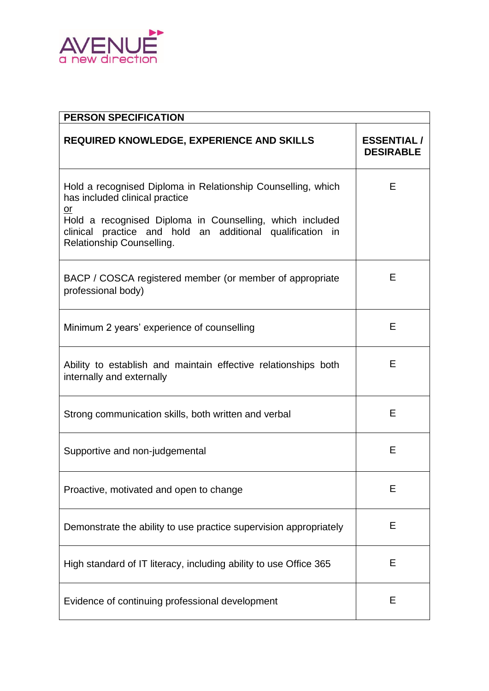

| <b>PERSON SPECIFICATION</b>                                                                                                                                                                                                                                   |                                       |  |  |
|---------------------------------------------------------------------------------------------------------------------------------------------------------------------------------------------------------------------------------------------------------------|---------------------------------------|--|--|
| <b>REQUIRED KNOWLEDGE, EXPERIENCE AND SKILLS</b>                                                                                                                                                                                                              | <b>ESSENTIAL/</b><br><b>DESIRABLE</b> |  |  |
| Hold a recognised Diploma in Relationship Counselling, which<br>has included clinical practice<br>or<br>Hold a recognised Diploma in Counselling, which included<br>clinical practice and hold an additional qualification<br>in<br>Relationship Counselling. | Е                                     |  |  |
| BACP / COSCA registered member (or member of appropriate<br>professional body)                                                                                                                                                                                | Е                                     |  |  |
| Minimum 2 years' experience of counselling                                                                                                                                                                                                                    | E                                     |  |  |
| Ability to establish and maintain effective relationships both<br>internally and externally                                                                                                                                                                   | Е                                     |  |  |
| Strong communication skills, both written and verbal                                                                                                                                                                                                          | E                                     |  |  |
| Supportive and non-judgemental                                                                                                                                                                                                                                | Е                                     |  |  |
| Proactive, motivated and open to change                                                                                                                                                                                                                       | Е                                     |  |  |
| Demonstrate the ability to use practice supervision appropriately                                                                                                                                                                                             | E                                     |  |  |
| High standard of IT literacy, including ability to use Office 365                                                                                                                                                                                             | Е                                     |  |  |
| Evidence of continuing professional development                                                                                                                                                                                                               | Е                                     |  |  |